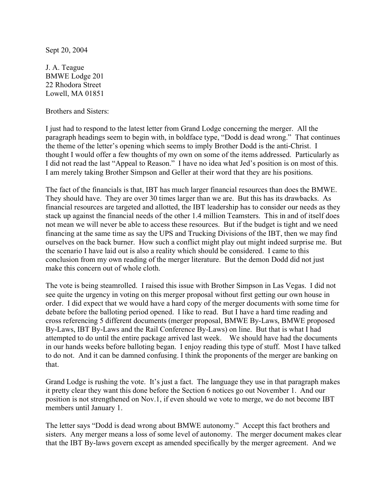Sept 20, 2004

J. A. Teague BMWE Lodge 201 22 Rhodora Street Lowell, MA 01851

Brothers and Sisters:

I just had to respond to the latest letter from Grand Lodge concerning the merger. All the paragraph headings seem to begin with, in boldface type, "Dodd is dead wrong." That continues the theme of the letter's opening which seems to imply Brother Dodd is the anti-Christ. I thought I would offer a few thoughts of my own on some of the items addressed. Particularly as I did not read the last "Appeal to Reason." I have no idea what Jed's position is on most of this. I am merely taking Brother Simpson and Geller at their word that they are his positions.

The fact of the financials is that, IBT has much larger financial resources than does the BMWE. They should have. They are over 30 times larger than we are. But this has its drawbacks. As financial resources are targeted and allotted, the IBT leadership has to consider our needs as they stack up against the financial needs of the other 1.4 million Teamsters. This in and of itself does not mean we will never be able to access these resources. But if the budget is tight and we need financing at the same time as say the UPS and Trucking Divisions of the IBT, then we may find ourselves on the back burner. How such a conflict might play out might indeed surprise me. But the scenario I have laid out is also a reality which should be considered. I came to this conclusion from my own reading of the merger literature. But the demon Dodd did not just make this concern out of whole cloth.

The vote is being steamrolled. I raised this issue with Brother Simpson in Las Vegas. I did not see quite the urgency in voting on this merger proposal without first getting our own house in order. I did expect that we would have a hard copy of the merger documents with some time for debate before the balloting period opened. I like to read. But I have a hard time reading and cross referencing 5 different documents (merger proposal, BMWE By-Laws, BMWE proposed By-Laws, IBT By-Laws and the Rail Conference By-Laws) on line. But that is what I had attempted to do until the entire package arrived last week. We should have had the documents in our hands weeks before balloting began. I enjoy reading this type of stuff. Most I have talked to do not. And it can be damned confusing. I think the proponents of the merger are banking on that.

Grand Lodge is rushing the vote. It's just a fact. The language they use in that paragraph makes it pretty clear they want this done before the Section 6 notices go out November 1. And our position is not strengthened on Nov.1, if even should we vote to merge, we do not become IBT members until January 1.

The letter says "Dodd is dead wrong about BMWE autonomy." Accept this fact brothers and sisters. Any merger means a loss of some level of autonomy. The merger document makes clear that the IBT By-laws govern except as amended specifically by the merger agreement. And we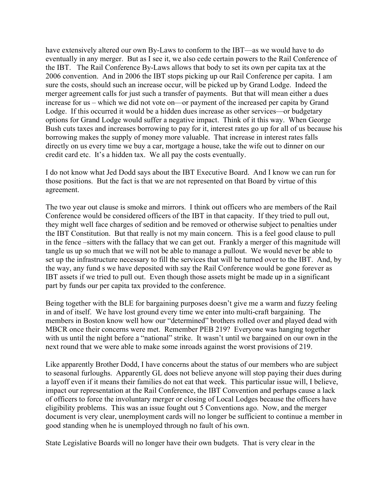have extensively altered our own By-Laws to conform to the IBT—as we would have to do eventually in any merger. But as I see it, we also cede certain powers to the Rail Conference of the IBT. The Rail Conference By-Laws allows that body to set its own per capita tax at the 2006 convention. And in 2006 the IBT stops picking up our Rail Conference per capita. I am sure the costs, should such an increase occur, will be picked up by Grand Lodge. Indeed the merger agreement calls for just such a transfer of payments. But that will mean either a dues increase for us – which we did not vote on—or payment of the increased per capita by Grand Lodge. If this occurred it would be a hidden dues increase as other services—or budgetary options for Grand Lodge would suffer a negative impact. Think of it this way. When George Bush cuts taxes and increases borrowing to pay for it, interest rates go up for all of us because his borrowing makes the supply of money more valuable. That increase in interest rates falls directly on us every time we buy a car, mortgage a house, take the wife out to dinner on our credit card etc. It's a hidden tax. We all pay the costs eventually.

I do not know what Jed Dodd says about the IBT Executive Board. And I know we can run for those positions. But the fact is that we are not represented on that Board by virtue of this agreement.

The two year out clause is smoke and mirrors. I think out officers who are members of the Rail Conference would be considered officers of the IBT in that capacity. If they tried to pull out, they might well face charges of sedition and be removed or otherwise subject to penalties under the IBT Constitution. But that really is not my main concern. This is a feel good clause to pull in the fence –sitters with the fallacy that we can get out. Frankly a merger of this magnitude will tangle us up so much that we will not be able to manage a pullout. We would never be able to set up the infrastructure necessary to fill the services that will be turned over to the IBT. And, by the way, any fund s we have deposited with say the Rail Conference would be gone forever as IBT assets if we tried to pull out. Even though those assets might be made up in a significant part by funds our per capita tax provided to the conference.

Being together with the BLE for bargaining purposes doesn't give me a warm and fuzzy feeling in and of itself. We have lost ground every time we enter into multi-craft bargaining. The members in Boston know well how our "determined" brothers rolled over and played dead with MBCR once their concerns were met. Remember PEB 219? Everyone was hanging together with us until the night before a "national" strike. It wasn't until we bargained on our own in the next round that we were able to make some inroads against the worst provisions of 219.

Like apparently Brother Dodd, I have concerns about the status of our members who are subject to seasonal furloughs. Apparently GL does not believe anyone will stop paying their dues during a layoff even if it means their families do not eat that week. This particular issue will, I believe, impact our representation at the Rail Conference, the IBT Convention and perhaps cause a lack of officers to force the involuntary merger or closing of Local Lodges because the officers have eligibility problems. This was an issue fought out 5 Conventions ago. Now, and the merger document is very clear, unemployment cards will no longer be sufficient to continue a member in good standing when he is unemployed through no fault of his own.

State Legislative Boards will no longer have their own budgets. That is very clear in the